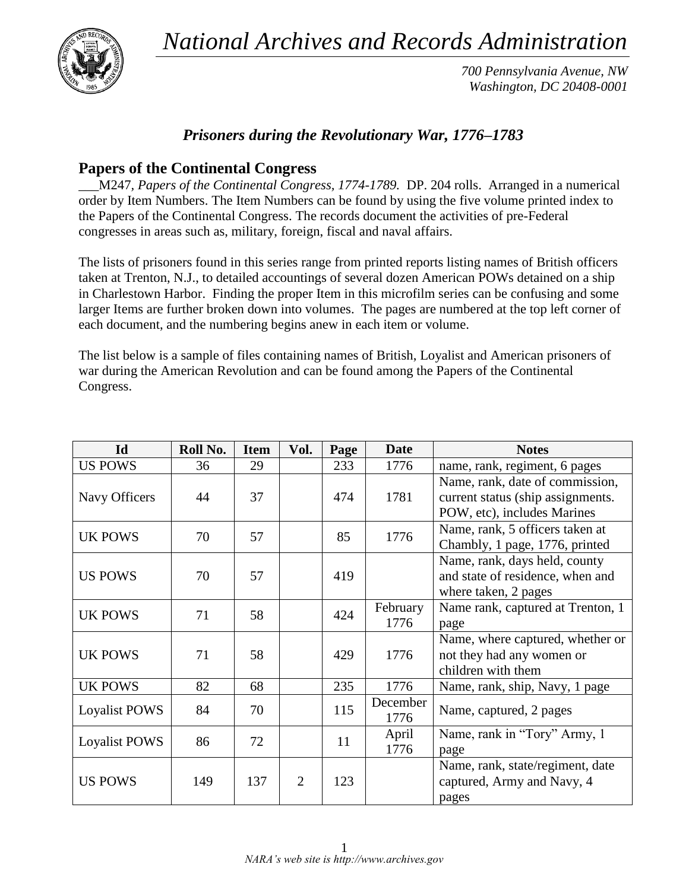*National Archives and Records Administration*



*700 Pennsylvania Avenue, NW Washington, DC 20408-0001*

## *Prisoners during the Revolutionary War, 1776–1783*

## **Papers of the Continental Congress**

\_\_\_M247*, Papers of the Continental Congress, 1774-1789.* DP. 204 rolls. Arranged in a numerical order by Item Numbers. The Item Numbers can be found by using the five volume printed index to the Papers of the Continental Congress. The records document the activities of pre-Federal congresses in areas such as, military, foreign, fiscal and naval affairs.

The lists of prisoners found in this series range from printed reports listing names of British officers taken at Trenton, N.J., to detailed accountings of several dozen American POWs detained on a ship in Charlestown Harbor. Finding the proper Item in this microfilm series can be confusing and some larger Items are further broken down into volumes. The pages are numbered at the top left corner of each document, and the numbering begins anew in each item or volume.

The list below is a sample of files containing names of British, Loyalist and American prisoners of war during the American Revolution and can be found among the Papers of the Continental Congress.

| Id                   | Roll No. | <b>Item</b> | Vol.           | Page | <b>Date</b> | <b>Notes</b>                      |
|----------------------|----------|-------------|----------------|------|-------------|-----------------------------------|
| <b>US POWS</b>       | 36       | 29          |                | 233  | 1776        | name, rank, regiment, 6 pages     |
|                      |          |             |                |      |             | Name, rank, date of commission,   |
| Navy Officers        | 44       | 37          |                | 474  | 1781        | current status (ship assignments. |
|                      |          |             |                |      |             | POW, etc), includes Marines       |
| <b>UK POWS</b>       | 70       | 57          |                | 85   | 1776        | Name, rank, 5 officers taken at   |
|                      |          |             |                |      |             | Chambly, 1 page, 1776, printed    |
|                      |          |             |                |      |             | Name, rank, days held, county     |
| <b>US POWS</b>       | 70       | 57          |                | 419  |             | and state of residence, when and  |
|                      |          |             |                |      |             | where taken, 2 pages              |
| <b>UK POWS</b>       | 71       | 58          |                | 424  | February    | Name rank, captured at Trenton, 1 |
|                      |          |             |                |      | 1776        | page                              |
|                      |          |             |                |      |             | Name, where captured, whether or  |
| <b>UK POWS</b>       | 71       | 58          |                | 429  | 1776        | not they had any women or         |
|                      |          |             |                |      |             | children with them                |
| <b>UK POWS</b>       | 82       | 68          |                | 235  | 1776        | Name, rank, ship, Navy, 1 page    |
| <b>Loyalist POWS</b> | 84       | 70          |                | 115  | December    | Name, captured, 2 pages           |
|                      |          |             |                |      | 1776        |                                   |
| <b>Loyalist POWS</b> | 86       | 72          |                | 11   | April       | Name, rank in "Tory" Army, 1      |
|                      |          |             |                |      | 1776        | page                              |
|                      |          |             |                |      |             | Name, rank, state/regiment, date  |
| <b>US POWS</b>       | 149      | 137         | $\overline{2}$ | 123  |             | captured, Army and Navy, 4        |
|                      |          |             |                |      |             | pages                             |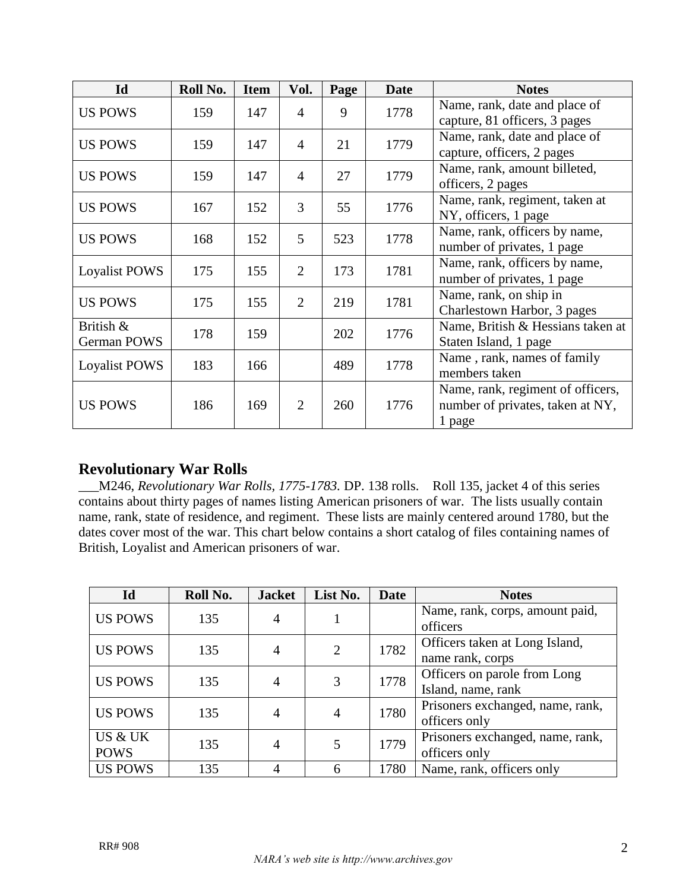| Id                       | Roll No. | <b>Item</b> | Vol.           | Page | <b>Date</b> | <b>Notes</b>                                                                    |
|--------------------------|----------|-------------|----------------|------|-------------|---------------------------------------------------------------------------------|
| <b>US POWS</b>           | 159      | 147         | $\overline{4}$ | 9    | 1778        | Name, rank, date and place of<br>capture, 81 officers, 3 pages                  |
| <b>US POWS</b>           | 159      | 147         | $\overline{4}$ | 21   | 1779        | Name, rank, date and place of<br>capture, officers, 2 pages                     |
| <b>US POWS</b>           | 159      | 147         | $\overline{4}$ | 27   | 1779        | Name, rank, amount billeted,<br>officers, 2 pages                               |
| <b>US POWS</b>           | 167      | 152         | 3              | 55   | 1776        | Name, rank, regiment, taken at<br>NY, officers, 1 page                          |
| <b>US POWS</b>           | 168      | 152         | 5              | 523  | 1778        | Name, rank, officers by name,<br>number of privates, 1 page                     |
| <b>Loyalist POWS</b>     | 175      | 155         | $\overline{2}$ | 173  | 1781        | Name, rank, officers by name,<br>number of privates, 1 page                     |
| <b>US POWS</b>           | 175      | 155         | 2              | 219  | 1781        | Name, rank, on ship in<br>Charlestown Harbor, 3 pages                           |
| British &<br>German POWS | 178      | 159         |                | 202  | 1776        | Name, British & Hessians taken at<br>Staten Island, 1 page                      |
| Loyalist POWS            | 183      | 166         |                | 489  | 1778        | Name, rank, names of family<br>members taken                                    |
| <b>US POWS</b>           | 186      | 169         | 2              | 260  | 1776        | Name, rank, regiment of officers,<br>number of privates, taken at NY,<br>1 page |

## **Revolutionary War Rolls**

\_\_\_M246, *Revolutionary War Rolls, 1775-1783.* DP. 138 rolls. Roll 135, jacket 4 of this series contains about thirty pages of names listing American prisoners of war. The lists usually contain name, rank, state of residence, and regiment. These lists are mainly centered around 1780, but the dates cover most of the war. This chart below contains a short catalog of files containing names of British, Loyalist and American prisoners of war.

| Id             | Roll No. | <b>Jacket</b>  | List No.       | <b>Date</b> | <b>Notes</b>                                |
|----------------|----------|----------------|----------------|-------------|---------------------------------------------|
| <b>US POWS</b> | 135      | 4              |                |             | Name, rank, corps, amount paid,<br>officers |
|                |          |                |                |             |                                             |
| <b>US POWS</b> | 135      | $\overline{4}$ | $\overline{2}$ | 1782        | Officers taken at Long Island,              |
|                |          |                |                |             | name rank, corps                            |
| <b>US POWS</b> | 135      | $\overline{4}$ | 3              | 1778        | Officers on parole from Long                |
|                |          |                |                |             | Island, name, rank                          |
|                | 135      |                |                | 1780        | Prisoners exchanged, name, rank,            |
| <b>US POWS</b> |          | $\overline{4}$ | 4              |             | officers only                               |
| US & UK        |          |                |                |             | Prisoners exchanged, name, rank,            |
| <b>POWS</b>    | 135      | 4              |                | 1779        | officers only                               |
| <b>US POWS</b> | 135      | 4              | 6              | 1780        | Name, rank, officers only                   |